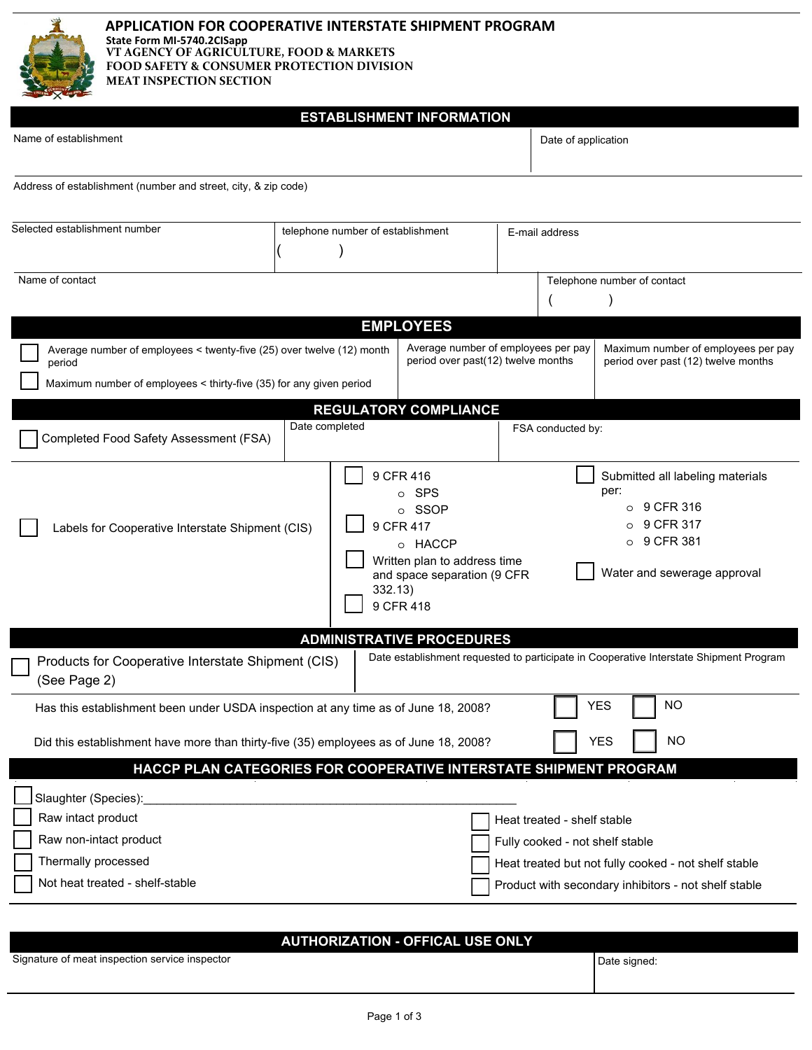

**APPLICATION FOR COOPERATIVE INTERSTATE SHIPMENT PROGRAM State Form MI-5740.2CISapp VT AGENCY OF AGRICULTURE, FOOD & MARKETS FOOD SAFETY & CONSUMER PROTECTION DIVISION MEAT INSPECTION SECTION**

# **ESTABLISHMENT INFORMATION**

| Name of establishment                                                                                                                                                                                                               |                                   |                                                                                                                                  |                                                      | Date of application                                                        |                                                                                                                |  |
|-------------------------------------------------------------------------------------------------------------------------------------------------------------------------------------------------------------------------------------|-----------------------------------|----------------------------------------------------------------------------------------------------------------------------------|------------------------------------------------------|----------------------------------------------------------------------------|----------------------------------------------------------------------------------------------------------------|--|
| Address of establishment (number and street, city, & zip code)                                                                                                                                                                      |                                   |                                                                                                                                  |                                                      |                                                                            |                                                                                                                |  |
| Selected establishment number                                                                                                                                                                                                       | telephone number of establishment |                                                                                                                                  | E-mail address                                       |                                                                            |                                                                                                                |  |
| Name of contact                                                                                                                                                                                                                     |                                   |                                                                                                                                  | Telephone number of contact                          |                                                                            |                                                                                                                |  |
|                                                                                                                                                                                                                                     |                                   | <b>EMPLOYEES</b>                                                                                                                 |                                                      |                                                                            |                                                                                                                |  |
| Average number of employees per pay<br>Average number of employees < twenty-five (25) over twelve (12) month<br>period over past(12) twelve months<br>period<br>Maximum number of employees < thirty-five (35) for any given period |                                   |                                                                                                                                  |                                                      | Maximum number of employees per pay<br>period over past (12) twelve months |                                                                                                                |  |
|                                                                                                                                                                                                                                     |                                   | <b>REGULATORY COMPLIANCE</b>                                                                                                     |                                                      |                                                                            |                                                                                                                |  |
| Completed Food Safety Assessment (FSA)                                                                                                                                                                                              | Date completed                    |                                                                                                                                  | FSA conducted by:                                    |                                                                            |                                                                                                                |  |
| Labels for Cooperative Interstate Shipment (CIS)                                                                                                                                                                                    | 332.13)                           | 9 CFR 416<br>o SPS<br>o SSOP<br>9 CFR 417<br>o HACCP<br>Written plan to address time<br>and space separation (9 CFR<br>9 CFR 418 |                                                      | per:<br>O<br>O                                                             | Submitted all labeling materials<br>$\circ$ 9 CFR 316<br>9 CFR 317<br>9 CFR 381<br>Water and sewerage approval |  |
|                                                                                                                                                                                                                                     |                                   | <b>ADMINISTRATIVE PROCEDURES</b>                                                                                                 |                                                      |                                                                            |                                                                                                                |  |
| Products for Cooperative Interstate Shipment (CIS)<br>(See Page 2)                                                                                                                                                                  |                                   |                                                                                                                                  |                                                      |                                                                            | Date establishment requested to participate in Cooperative Interstate Shipment Program                         |  |
| Has this establishment been under USDA inspection at any time as of June 18, 2008?                                                                                                                                                  |                                   |                                                                                                                                  |                                                      | <b>YES</b>                                                                 | <b>NO</b>                                                                                                      |  |
| <b>YES</b><br><b>NO</b><br>Did this establishment have more than thirty-five (35) employees as of June 18, 2008?                                                                                                                    |                                   |                                                                                                                                  |                                                      |                                                                            |                                                                                                                |  |
| HACCP PLAN CATEGORIES FOR COOPERATIVE INTERSTATE SHIPMENT PROGRAM                                                                                                                                                                   |                                   |                                                                                                                                  |                                                      |                                                                            |                                                                                                                |  |
| Slaughter (Species):                                                                                                                                                                                                                |                                   |                                                                                                                                  |                                                      |                                                                            |                                                                                                                |  |
| Raw intact product                                                                                                                                                                                                                  |                                   |                                                                                                                                  | Heat treated - shelf stable                          |                                                                            |                                                                                                                |  |
| Raw non-intact product                                                                                                                                                                                                              |                                   |                                                                                                                                  | Fully cooked - not shelf stable                      |                                                                            |                                                                                                                |  |
| Thermally processed                                                                                                                                                                                                                 |                                   |                                                                                                                                  | Heat treated but not fully cooked - not shelf stable |                                                                            |                                                                                                                |  |
| Not heat treated - shelf-stable                                                                                                                                                                                                     |                                   |                                                                                                                                  |                                                      |                                                                            | Product with secondary inhibitors - not shelf stable                                                           |  |

| <b>AUTHORIZATION - OFFICAL USE ONLY</b>        |              |  |  |  |  |  |
|------------------------------------------------|--------------|--|--|--|--|--|
| Signature of meat inspection service inspector | Date signed: |  |  |  |  |  |
|                                                |              |  |  |  |  |  |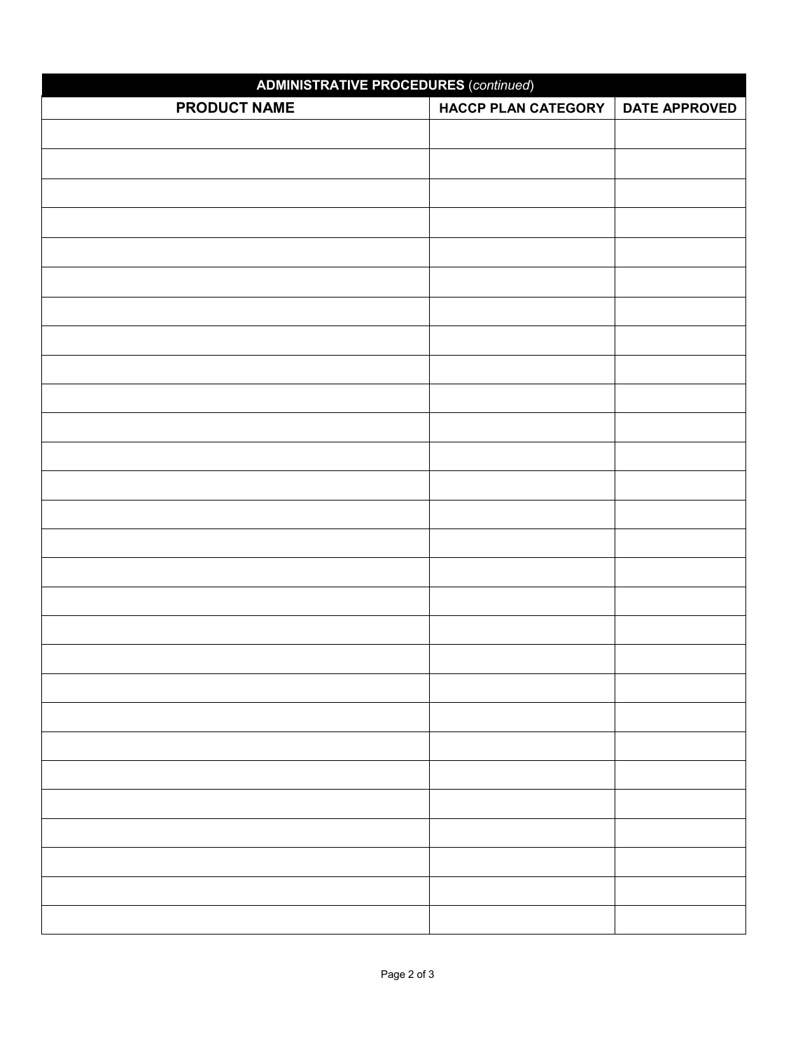| <b>ADMINISTRATIVE PROCEDURES (continued)</b> |                            |                      |  |  |  |  |
|----------------------------------------------|----------------------------|----------------------|--|--|--|--|
| <b>PRODUCT NAME</b>                          | <b>HACCP PLAN CATEGORY</b> | <b>DATE APPROVED</b> |  |  |  |  |
|                                              |                            |                      |  |  |  |  |
|                                              |                            |                      |  |  |  |  |
|                                              |                            |                      |  |  |  |  |
|                                              |                            |                      |  |  |  |  |
|                                              |                            |                      |  |  |  |  |
|                                              |                            |                      |  |  |  |  |
|                                              |                            |                      |  |  |  |  |
|                                              |                            |                      |  |  |  |  |
|                                              |                            |                      |  |  |  |  |
|                                              |                            |                      |  |  |  |  |
|                                              |                            |                      |  |  |  |  |
|                                              |                            |                      |  |  |  |  |
|                                              |                            |                      |  |  |  |  |
|                                              |                            |                      |  |  |  |  |
|                                              |                            |                      |  |  |  |  |
|                                              |                            |                      |  |  |  |  |
|                                              |                            |                      |  |  |  |  |
|                                              |                            |                      |  |  |  |  |
|                                              |                            |                      |  |  |  |  |
|                                              |                            |                      |  |  |  |  |
|                                              |                            |                      |  |  |  |  |
|                                              |                            |                      |  |  |  |  |
|                                              |                            |                      |  |  |  |  |
|                                              |                            |                      |  |  |  |  |
|                                              |                            |                      |  |  |  |  |
|                                              |                            |                      |  |  |  |  |
|                                              |                            |                      |  |  |  |  |
|                                              |                            |                      |  |  |  |  |
|                                              |                            |                      |  |  |  |  |
|                                              |                            |                      |  |  |  |  |
|                                              |                            |                      |  |  |  |  |